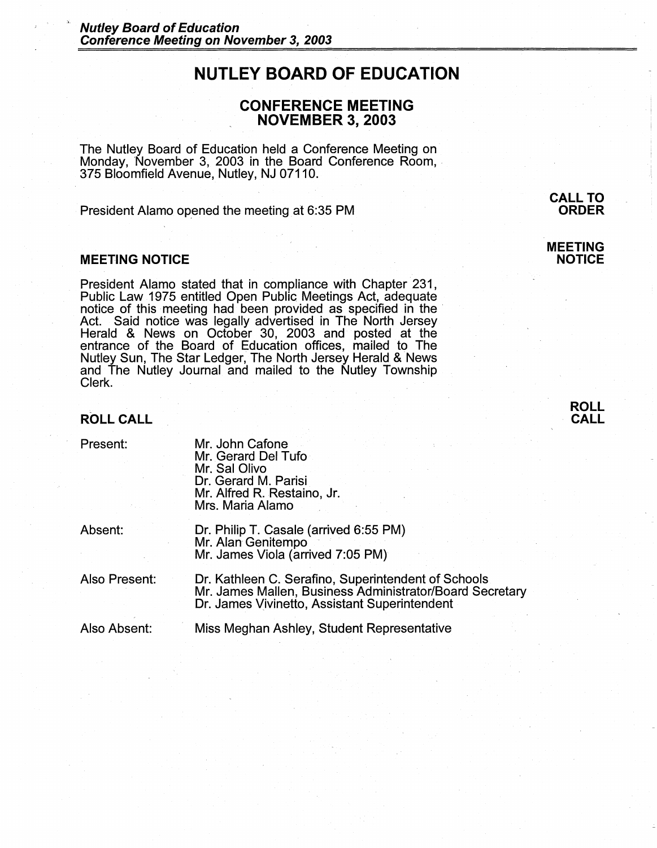# **NUTLEY BOARD OF EDUCATION**

# **CONFERENCE MEETING NOVEMBER 3, 2003**

The Nutley Board of Education held a Conference Meeting on Monday, November 3, 2003 in the Board Conference Room, 375 Bloomfield Avenue, Nutley, NJ 07110.

President Alamo opened the meeting. at 6:35 PM

#### **MEETING NOTICE**

President Alamo stated that in compliance with Chapter 231, Public Law 1975 entitled Open Public Meetings Act, adequate Act. Said notice was legally advertised in The North Jersey Herald & News on October 30, 2003 and· posted at the entrance of the Board of Education offices, mailed to The Nutley Sun, The Star Ledger, The North Jersey Herald & News and The Nutley Journal and mailed to the Nutley Township Clerk.

# **ROLL CALL**

Present:

Mr. John Cafone Mr. Gerard Del Tufo Mr. Sal Olivo Dr. Gerard M. Parisi Mr. Alfred R. Restaino, Jr. Mrs. Maria Alamo

Absent:

Dr. Philip T. Casale (arrived 6:55 PM) Mr. Alan Genitempo · Mr. James Viola (arrived 7:05 PM)

Also Present: Dr. Kathleen C. Serafino, Superintendent of Schools Mr. James Mallen, Business Administrator/Board Secretary Dr. James Vivinetto, Assistant Superintendent

Also Absent:

Miss Meghan Ashley, Student Representative

**CALL TO ORDER** 

**MEETING NOTICE** 

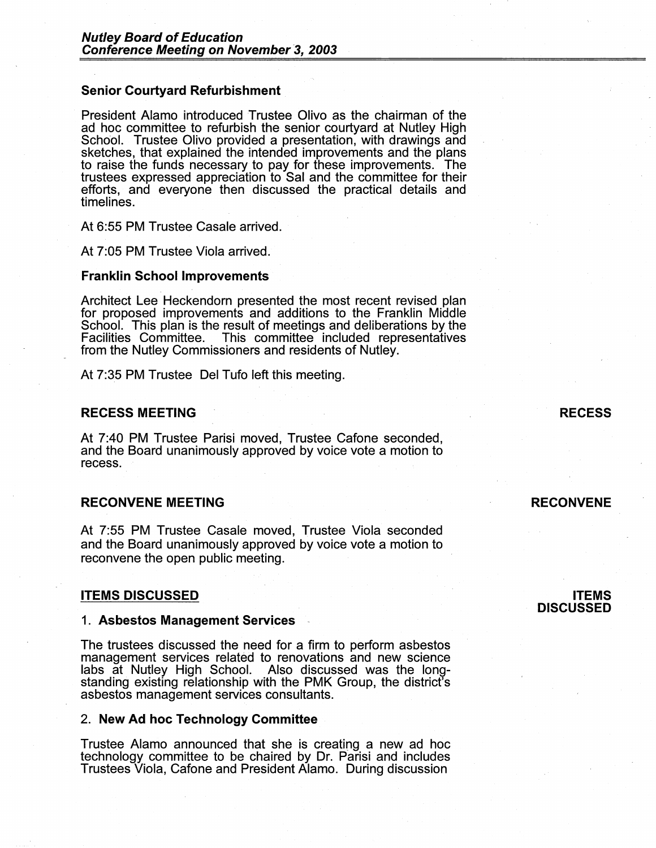#### **Senior Courtyard Refurbishment**

President Alamo introduced Trustee Olivo as the chairman of the ad hoc committee to refurbish the senior courtyard at Nutley High School. Trustee Olivo provided a presentation, with drawings and sketches, that explained the intended improvements and the plans to raise the funds necessary to pay for these improvements. The trustees expressed appreciation to Sal and the committee for their efforts, and everyone then discussed the practical details and timelines.

At 6:55 PM Trustee Casale arrived.

At 7:05 PM Trustee Viola arrived.

#### **Franklin School Improvements**

Architect Lee Heckendorn presented the most recent revised plan for proposed improvements and additions to the Franklin Middle School. This plan is the result of meetings and deliberations by the Facilities Committee. This committee included representatives from the Nutley Commissioners and residents of Nutley.

At 7:35 PM Trustee Del Tufo left this meeting.

# **RECESS MEETING**

At 7:40 PM Trustee Parisi moved, Trustee Cafone seconded, and the Board unanimously approved by voice vote a motion to recess.

# **RECONVENE MEETING**

At 7:55 PM Trustee Casale moved, Trustee Viola seconded and the Board unanimously approved by voice vote a motion to reconvene the open public meeting.

#### **ITEMS DISCUSSED**

#### **1. Asbestos Management Services**

The trustees discussed the need for a firm to perform asbestos management services related to renovations and new science labs at Nutley High School. Also discussed was the longstanding existing relationship with the PMK Group, the district's asbestos management services consultants.

#### 2. **New Ad hoc Technology Committee**

Trustee Alamo announced that she is creating a new ad hoc technology committee to be chaired by Dr. Parisi and includes Trustees Viola, Cafone and President Alamo. During discussion

# **RECESS**

# **RECONVENE**

# **ITEMS DISCUSSED**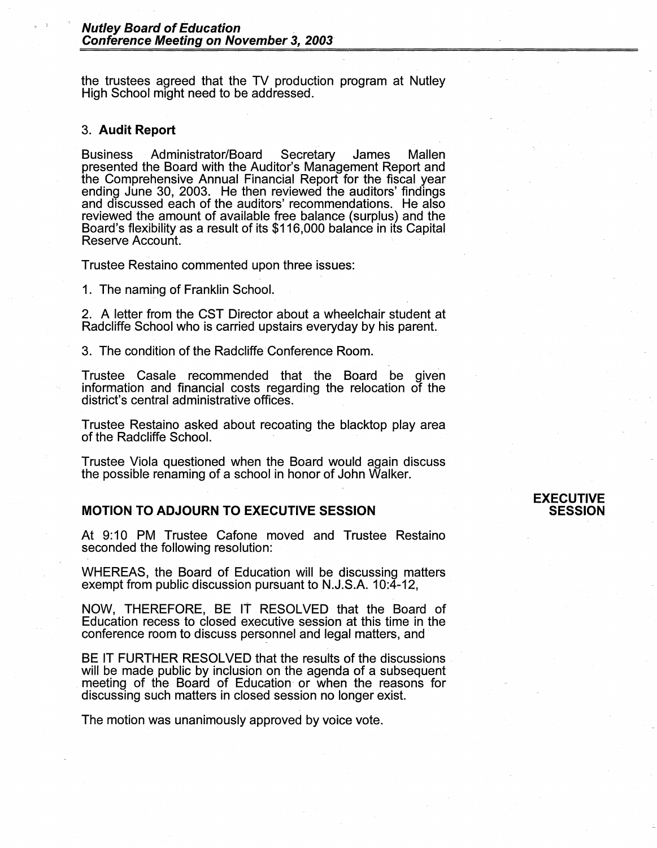the trustees agreed that the TV production program at Nutley High School might need to be addressed.

#### 3. **Audit Report**

Business Administrator/Board Secretary James Mallen presented the Board with the Auditor's Management Report and the Comprehensive Annual Financial Report for the fiscal year ending June 30, 2003. He then reviewed the auditors' findings and discussed each of the auditors' recommendations. He also reviewed the amount of available free balance (surplus) and the Board's flexibility as a result of its \$116,000 balance in its Capital Reserve Account.

Trustee Restaino commented upon three issues:

1. The naming of Franklin School.

2. A letter from the CST Director about a wheelchair student at Radcliffe School who is carried upstairs everyday by his parent.

3. The condition of the Radcliffe Conference Room.

Trustee Casale recommended that the Board be given information and financial costs regarding the relocation of the district's central administrative offices.

Trustee Restaino asked about recoating the blacktop play area of the Radcliffe School.

Trustee Viola questioned when the Board would again discuss the possible renaming of a school in honor of John Walker.

# **MOTION TO ADJOURN TO EXECUTIVE SESSION**

At 9:10 PM Trustee Cafone moved and Trustee Restaino seconded the following resolution:

WHEREAS, the Board of Education will be discussing matters exempt from public discussion pursuant to N.J.S.A. 10:4-12,

**NOW,** THEREFORE, BE IT RESOLVED that the Board of Education recess to closed executive session at this time in the conference mom to discuss personnel and legal matters, and

BE IT FURTHER RESOLVED that the results of the discussions will be made public by inclusion on the agenda of a subsequent meeting of the Board of Education or when the reasons for discussing such matters in closed session no longer exist.

The motion was unanimously approved by voice vote.

# **EXECUTIVE SESSION**